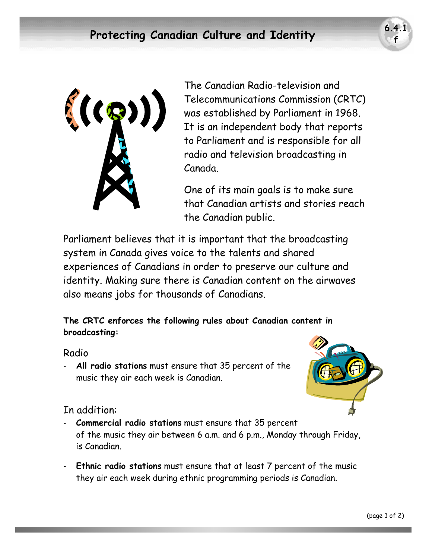

The Canadian Radio-television and Telecommunications Commission (CRTC) was established by Parliament in 1968. It is an independent body that reports to Parliament and is responsible for all radio and television broadcasting in Canada.

One of its main goals is to make sure that Canadian artists and stories reach the Canadian public.

Parliament believes that it is important that the broadcasting system in Canada gives voice to the talents and shared experiences of Canadians in order to preserve our culture and identity. Making sure there is Canadian content on the airwaves also means jobs for thousands of Canadians.

**The CRTC enforces the following rules about Canadian content in broadcasting:** 

## Radio

- **All radio stations** must ensure that 35 percent of the music they air each week is Canadian.



## In addition:

- **Commercial radio stations** must ensure that 35 percent of the music they air between 6 a.m. and 6 p.m., Monday through Friday, is Canadian.
- **Ethnic radio stations** must ensure that at least 7 percent of the music they air each week during ethnic programming periods is Canadian.

**f**